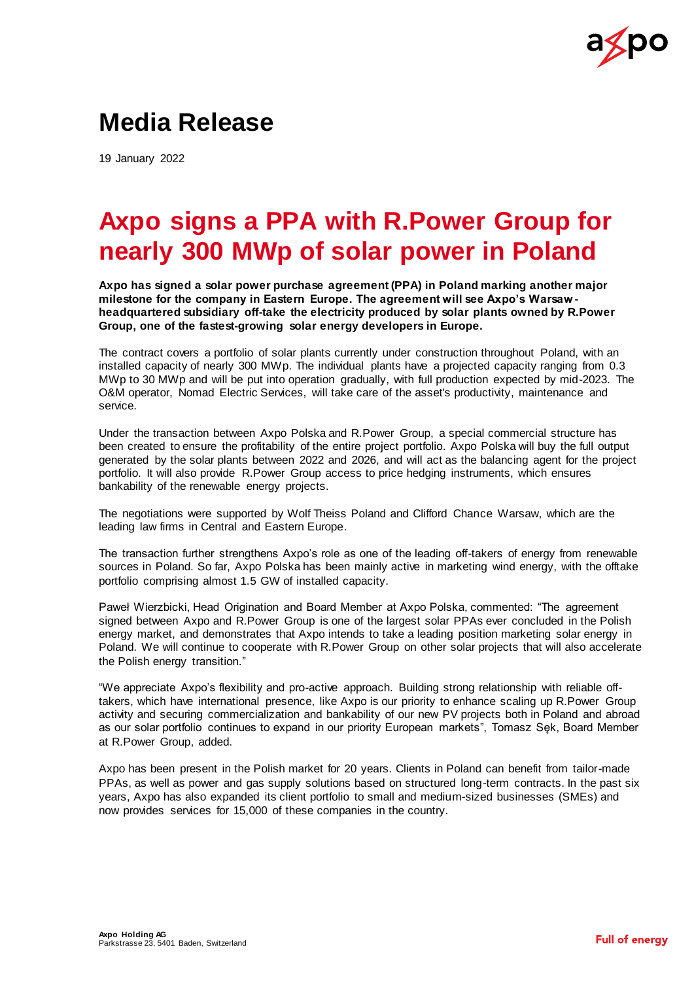

## **Media Release**

19 January 2022

# **Axpo signs a PPA with R.Power Group for nearly 300 MWp of solar power in Poland**

**Axpo has signed a solar power purchase agreement (PPA) in Poland marking another major milestone for the company in Eastern Europe. The agreement will see Axpo's Warsaw headquartered subsidiary off-take the electricity produced by solar plants owned by R.Power Group, one of the fastest-growing solar energy developers in Europe.**

The contract covers a portfolio of solar plants currently under construction throughout Poland, with an installed capacity of nearly 300 MWp. The individual plants have a projected capacity ranging from 0.3 MWp to 30 MWp and will be put into operation gradually, with full production expected by mid-2023. The O&M operator, Nomad Electric Services, will take care of the asset's productivity, maintenance and service.

Under the transaction between Axpo Polska and R.Power Group, a special commercial structure has been created to ensure the profitability of the entire project portfolio. Axpo Polska will buy the full output generated by the solar plants between 2022 and 2026, and will act as the balancing agent for the project portfolio. It will also provide R.Power Group access to price hedging instruments, which ensures bankability of the renewable energy projects.

The negotiations were supported by Wolf Theiss Poland and Clifford Chance Warsaw, which are the leading law firms in Central and Eastern Europe.

The transaction further strengthens Axpo's role as one of the leading off-takers of energy from renewable sources in Poland. So far, Axpo Polska has been mainly active in marketing wind energy, with the offtake portfolio comprising almost 1.5 GW of installed capacity.

Paweł Wierzbicki, Head Origination and Board Member at Axpo Polska, commented: "The agreement signed between Axpo and R.Power Group is one of the largest solar PPAs ever concluded in the Polish energy market, and demonstrates that Axpo intends to take a leading position marketing solar energy in Poland. We will continue to cooperate with R.Power Group on other solar projects that will also accelerate the Polish energy transition."

"We appreciate Axpo's flexibility and pro-active approach. Building strong relationship with reliable offtakers, which have international presence, like Axpo is our priority to enhance scaling up R.Power Group activity and securing commercialization and bankability of our new PV projects both in Poland and abroad as our solar portfolio continues to expand in our priority European markets", Tomasz Sęk, Board Member at R.Power Group, added.

Axpo has been present in the Polish market for 20 years. Clients in Poland can benefit from tailor-made PPAs, as well as power and gas supply solutions based on structured long-term contracts. In the past six years, Axpo has also expanded its client portfolio to small and medium-sized businesses (SMEs) and now provides services for 15,000 of these companies in the country.